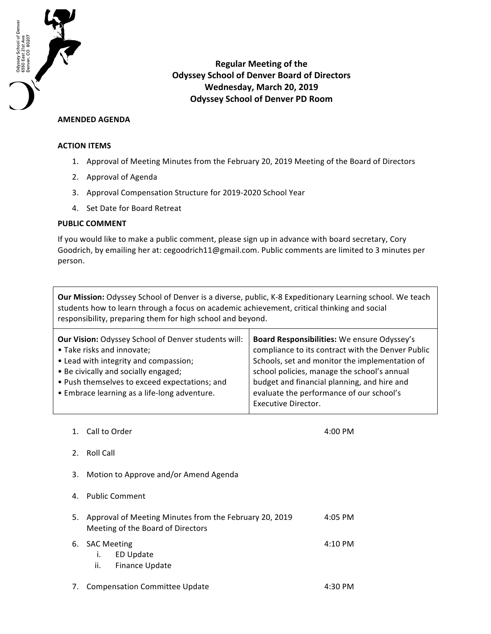

**Regular Meeting of the Odyssey School of Denver Board of Directors Wednesday, March 20, 2019 Odyssey School of Denver PD Room**

## **AMENDED AGENDA**

## **ACTION ITEMS**

- 1. Approval of Meeting Minutes from the February 20, 2019 Meeting of the Board of Directors
- 2. Approval of Agenda
- 3. Approval Compensation Structure for 2019-2020 School Year
- 4. Set Date for Board Retreat

## **PUBLIC COMMENT**

If you would like to make a public comment, please sign up in advance with board secretary, Cory Goodrich, by emailing her at: cegoodrich11@gmail.com. Public comments are limited to 3 minutes per person.

**Our Mission:** Odyssey School of Denver is a diverse, public, K-8 Expeditionary Learning school. We teach students how to learn through a focus on academic achievement, critical thinking and social responsibility, preparing them for high school and beyond.

| Board Responsibilities: We ensure Odyssey's<br>compliance to its contract with the Denver Public<br>Schools, set and monitor the implementation of<br>school policies, manage the school's annual<br>budget and financial planning, and hire and<br>evaluate the performance of our school's |
|----------------------------------------------------------------------------------------------------------------------------------------------------------------------------------------------------------------------------------------------------------------------------------------------|
| <b>Executive Director.</b>                                                                                                                                                                                                                                                                   |
|                                                                                                                                                                                                                                                                                              |

1. Call to Order 1. The contract of the contract of the contract of the contract of the contract of the contract of the contract of the contract of the contract of the contract of the contract of the contract of the contra

- 2. Roll Call
- 3. Motion to Approve and/or Amend Agenda
- 4. Public Comment
- 5. Approval of Meeting Minutes from the February 20, 2019 Meeting of the Board of Directors 4:05 PM 6. SAC Meeting i. ED Update 4:10 PM
	- ii. Finance Update
- 7. Compensation Committee Update 4:30 PM